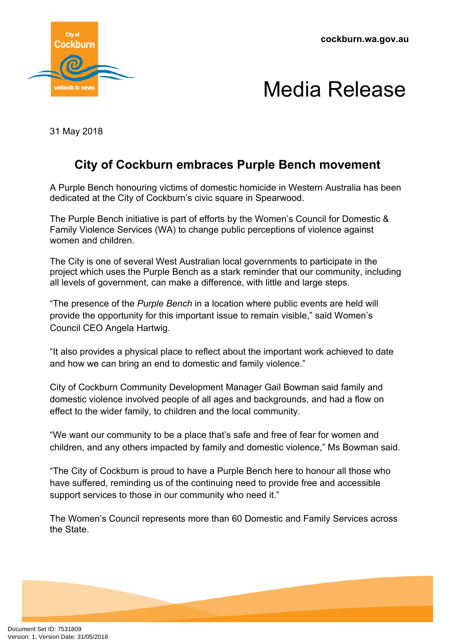**cockburn.wa.gov.au**





31 May 2018

## **City of Cockburn embraces Purple Bench movement**

A Purple Bench honouring victims of domestic homicide in Western Australia has been dedicated at the City of Cockburn's civic square in Spearwood.

The Purple Bench initiative is part of efforts by the Women's Council for Domestic & Family Violence Services (WA) to change public perceptions of violence against women and children.

The City is one of several West Australian local governments to participate in the project which uses the Purple Bench as a stark reminder that our community, including all levels of government, can make a difference, with little and large steps.

"The presence of the *Purple Bench* in a location where public events are held will provide the opportunity for this important issue to remain visible," said Women's Council CEO Angela Hartwig.

"It also provides a physical place to reflect about the important work achieved to date and how we can bring an end to domestic and family violence."

City of Cockburn Community Development Manager Gail Bowman said family and domestic violence involved people of all ages and backgrounds, and had a flow on effect to the wider family, to children and the local community.

"We want our community to be a place that's safe and free of fear for women and children, and any others impacted by family and domestic violence," Ms Bowman said.

"The City of Cockburn is proud to have a Purple Bench here to honour all those who have suffered, reminding us of the continuing need to provide free and accessible support services to those in our community who need it."

The Women's Council represents more than 60 Domestic and Family Services across the State.